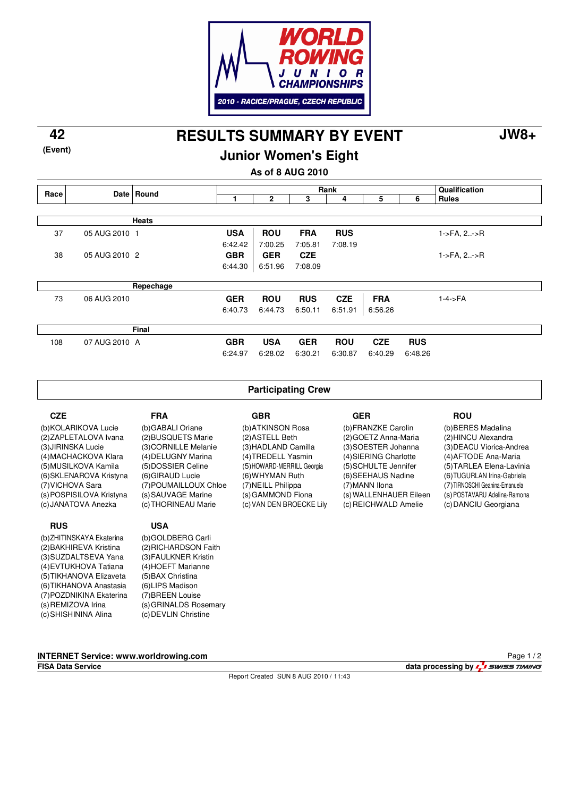

**RESULTS SUMMARY BY EVENT 42 JW8+**

### **Junior Women's Eight**

**As of 8 AUG 2010**

|      |               | Date Round   | Rank       |              |            |            |            |            | Qualification          |
|------|---------------|--------------|------------|--------------|------------|------------|------------|------------|------------------------|
| Race |               |              |            | $\mathbf{2}$ | 3          | 4          | 5          | 6          | <b>Rules</b>           |
|      |               |              |            |              |            |            |            |            |                        |
|      |               | <b>Heats</b> |            |              |            |            |            |            |                        |
| 37   | 05 AUG 2010 1 |              | <b>USA</b> | <b>ROU</b>   | <b>FRA</b> | <b>RUS</b> |            |            | $1 - > FA$ , $2 - > R$ |
|      |               |              | 6:42.42    | 7:00.25      | 7:05.81    | 7:08.19    |            |            |                        |
| 38   | 05 AUG 2010 2 |              | <b>GBR</b> | <b>GER</b>   | <b>CZE</b> |            |            |            | $1 - > FA$ , $2 - > R$ |
|      |               |              | 6:44.30    | 6:51.96      | 7:08.09    |            |            |            |                        |
|      |               |              |            |              |            |            |            |            |                        |
|      |               | Repechage    |            |              |            |            |            |            |                        |
| 73   | 06 AUG 2010   |              | <b>GER</b> | <b>ROU</b>   | <b>RUS</b> | <b>CZE</b> | <b>FRA</b> |            | $1-4$ ->FA             |
|      |               |              | 6:40.73    | 6:44.73      | 6:50.11    | 6:51.91    | 6:56.26    |            |                        |
|      |               |              |            |              |            |            |            |            |                        |
|      |               | Final        |            |              |            |            |            |            |                        |
| 108  | 07 AUG 2010 A |              | <b>GBR</b> | <b>USA</b>   | <b>GER</b> | <b>ROU</b> | <b>CZE</b> | <b>RUS</b> |                        |
|      |               |              | 6:24.97    | 6:28.02      | 6:30.21    | 6:30.87    | 6:40.29    | 6:48.26    |                        |
|      |               |              |            |              |            |            |            |            |                        |

#### **Participating Crew**

| FRA                   | GBR                        |
|-----------------------|----------------------------|
| (b)GABALI Oriane      | (b) ATKINSON Rosa          |
| (2) BUSQUETS Marie    | (2) ASTELL Beth            |
| (3) CORNILLE Melanie  | (3) HADLAND Camilla        |
| (4) DELUGNY Marina    | (4) TREDELL Yasmin         |
| (5)DOSSIER Celine     | (5) HOWARD-MERRILL Georgia |
| (6) GIRAUD Lucie      | (6) WHYMAN Ruth            |
| (7) POUMAILLOUX Chloe | (7) NEILL Philippa         |
| (s) SAUVAGE Marine    | (s) GAMMOND Fiona          |
| (c) THORINEAU Marie   | (c) VAN DEN BROECKE Lily   |
|                       |                            |
| USA                   |                            |

#### **GER** (b) FRANZKE Carolin (2) GOETZ Anna-Maria (3) SOESTER Johanna (4) SIERING Charlotte (5) SCHULTE Jennifer (6) SEEHAUS Nadine (7) MANN Ilona (s) WALLENHAUER Eileen (c) REICHWALD Amelie

#### **ROU**

(b) BERES Madalina (2) HINCU Alexandra (3) DEACU Viorica-Andrea (4) AFTODE Ana-Maria (5) TARLEA Elena-Lavinia (6) TUGURLAN Irina-Gabriela (7) TIRNOSCHI Geanina-Emanuela (s) POSTAVARU Adelina-Ramona (c) DANCIU Georgiana

**RUS** (b) ZHITINSKAYA Ekaterina (2) BAKHIREVA Kristina (3) SUZDALTSEVA Yana (4) EVTUKHOVA Tatiana (5) TIKHANOVA Elizaveta (6) TIKHANOVA Anastasia (7) POZDNIKINA Ekaterina (s) REMIZOVA Irina (c) SHISHININA Alina

**CZE**

(b) KOLARIKOVA Lucie (2) ZAPLETALOVA Ivana (3) JIRINSKA Lucie (4) MACHACKOVA Klara (5) MUSILKOVA Kamila (6) SKLENAROVA Kristyna (7) VICHOVA Sara (s) POSPISILOVA Kristyna (c) JANATOVA Anezka

> (b) GOLDBERG Carli (2) RICHARDSON Faith (3) FAULKNER Kristin (4) HOEFT Marianne (5) BAX Christina (6) LIPS Madison (7) BREEN Louise (s) GRINALDS Rosemary (c) DEVLIN Christine

**INTERNET Service: www.worldrowing.com**

Report Created SUN 8 AUG 2010 / 11:43

**FISA Data Service data processing by**  $\frac{1}{4}$  **swiss TIMING** Page 1 / 2

**(Event)**